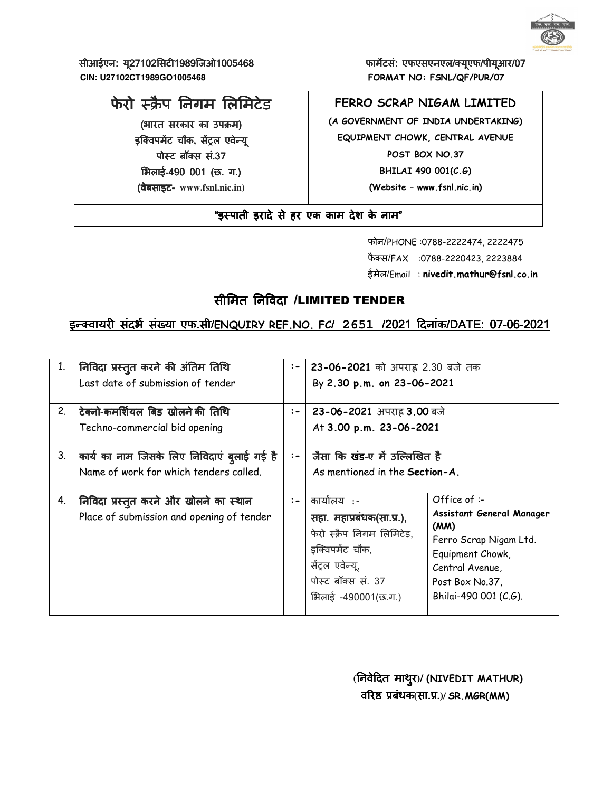

सीआईएन: यू27102सिटी1989जिओ1005468 **big 2010 कार्यटसं: एफएसएनएल/क्यूएफ/पीयूआर**/ 07  **CIN: U27102CT1989GO1005468 FORMAT NO: FSNL/QF/PUR/07**

# फेरो स्क्रैप निगम लिमिटेड

(भारत सरकार का उपक्रम) इक्विपमेंट चौक, सेंट्रल एवेन्यू पोस्ट बॉक्स सं .37 भिलाई-490 001 (छ. ग.) (वेबसाइट (वेबसाइटवेबसाइट- **www.fsnl.nic.in)** 

# **FERRO SCRAP NIGAM LIMITED**

**(A GOVERNMENT OF INDIA UNDERTAKING) EQUIPMENT CHOWK, CENTRAL AVENUE POST BOX NO.37 BHILAI 490 001(C.G) (Website – www.fsnl.nic.in)** 

"इस्पाती इरादे से हर एक काम देश के नाम"

 फोन/PHONE :0788-2222474, 2222475 फैक्स/FAX :0788-2220423, 2223884 ईमेल/Email : **nivedit.mathur@fsnl.co.in**

# सीमित निविदा /LIMITED TENDER

# इन्क्वायरी संदर्भ संख्या एफ.सी/ENQUIRY REF.NO. FC/ 2651 /2021 दिनांक/DATE: 07-06-2021

| 1. | निविदा प्रस्तुत करने की अंतिम तिथि<br>Last date of submission of tender               | $:-$ | 23-06-2021 को अपराह 2.30 बजे तक<br>By 2.30 p.m. on 23-06-2021                                                                                              |                                                                                                                                                                  |  |  |
|----|---------------------------------------------------------------------------------------|------|------------------------------------------------------------------------------------------------------------------------------------------------------------|------------------------------------------------------------------------------------------------------------------------------------------------------------------|--|--|
| 2. | टेक्नो-कमर्शियल बिड खोलने की तिथि<br>Techno-commercial bid opening                    | $:-$ | 23-06-2021 अपराह 3.00 बजे<br>At 3.00 p.m. 23-06-2021                                                                                                       |                                                                                                                                                                  |  |  |
| 3. | कार्य का नाम जिसके लिए निविदाएं ब्लाई गई है<br>Name of work for which tenders called. | $:-$ | जैसा कि खंड-ए में उल्लिखित है<br>As mentioned in the Section-A.                                                                                            |                                                                                                                                                                  |  |  |
| 4. | निविदा प्रस्तुत करने और खोलने का स्थान<br>Place of submission and opening of tender   | $:-$ | कार्यालय :-<br>सहा. महाप्रबंधक(सा.प्र.),<br>फेरो स्क्रैप निगम लिमिटेड.<br>इक्विपमेंट चौक,<br>सेंट्रल एवेन्यू,<br>पोस्ट बॉक्स सं. 37<br>भिलाई -490001(छ.ग.) | Office of $:-$<br>Assistant General Manager<br>(MM)<br>Ferro Scrap Nigam Ltd.<br>Equipment Chowk,<br>Central Avenue,<br>Post Box No.37,<br>Bhilai-490 001 (C.G). |  |  |

 **(**)नवेGदत )नवेGदतमाथुर**)/ (NIVEDIT MATHUR)** व[र\Lबंधक**(**सा.L.**)/ SR.MGR(MM)**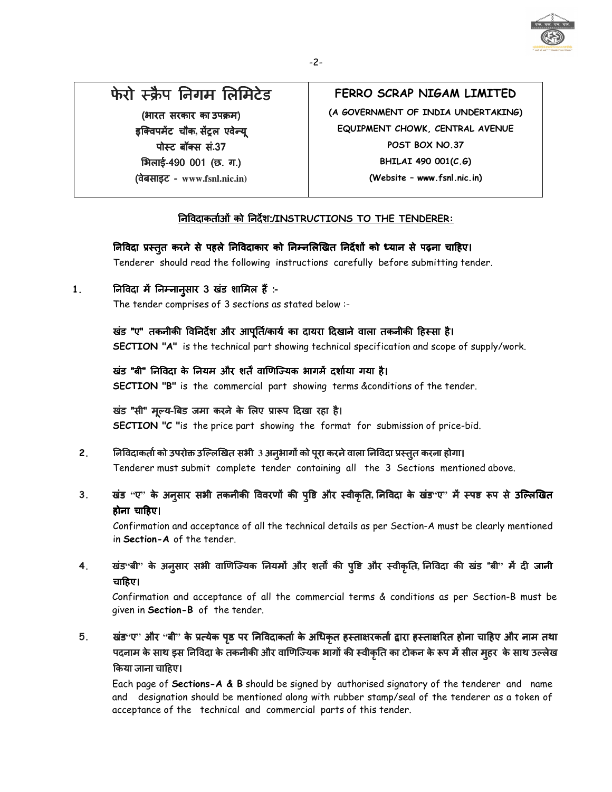

# फेरो स्क्रैप निगम लिमिटेड

(भारत सरकार का उपक्रम) इक्विपमेंट चौक, सेंट्रल एवेन्यू पोस्ट बॉक्स सं.37 भिलाई-490 001 (छ. ग.) (वेबसाइट (वेबसाइट वेबसाइट - **www.fsnl.nic.in)**

# **FERRO SCRAP NIGAM LIMITED**

**(A GOVERNMENT OF INDIA UNDERTAKING) EQUIPMENT CHOWK, CENTRAL AVENUE POST BOX NO.37 BHILAI 490 001(C.G) (Website – www.fsnl.nic.in)** 

# )नDवदाकताEओं को )नदश:/**INSTRUCTIONS TO THE TENDERER:**

निविदा प्रस्तुत करने से पहले निविदाकार को निम्नलिखित निर्देशों को ध्यान से पढ़ना चाहिए।

Tenderer should read the following instructions carefully before submitting tender.

1. **निविदा में निम्नान्**सार 3 खंड शामिल हैं :-

The tender comprises of 3 sections as stated below :-

# खंड "ए" तकनीकी विनिर्देश और आपूर्ति/कार्य का दायरा दिखाने वाला तकनीकी हिस्सा है।

**SECTION "A"** is the technical part showing technical specification and scope of supply/work.

# खंड "बी" निविदा के नियम और शर्तें वाणिज्यिक भागमें दर्शाया गया है।

**SECTION "B"** is the commercial part showing terms &conditions of the tender.

## खंड "सी" मूल्य-बिड जमा करने के लिए प्रारूप दिखा रहा है।

**SECTION "C "**is the price part showing the format for submission of price-bid.

# 2. निविदाकर्ता को उपरोक्त उल्लिखित सभी 3 अनुभागों को पूरा करने वाला निविदा प्रस्तुत करना होगा।

Tenderer must submit complete tender containing all the 3 Sections mentioned above.

3. खंड "ए" के अनूसार सभी तकनीकी विवरणों की पृष्टि और स्वीकृति, निविदा के खंड<sup>.</sup>ए" में स्पष्ट रूप से उल्लिखित होना चाGहए।

Confirmation and acceptance of all the technical details as per Section-A must be clearly mentioned in **Section-A** of the tender.

4. खंड<sup>,</sup> बी'' के अन्**सार सभी वाणिज्यिक नियमों और शतों की प्**ष्टि और स्वीकृति, निविदा की खंड "बी'' में दी जानी चाGहए।

Confirmation and acceptance of all the commercial terms & conditions as per Section-B must be given in **Section-B** of the tender.

5. खंड"ए" और "बी" के प्रत्येक पृष्ठ पर निविदाकर्ता के अधिकृत हस्ताक्षरकर्ता द्वारा हस्ताक्षरित होना चाहिए और नाम तथा पदनाम के साथ इस निविदा के तकनीकी और वाणिज्यिक भागों की स्वीकृति का टोकन के रूप में सील मुहर के साथ उल्लेख Uकया जाना चाGहए।

Each page of **Sections-A & B** should be signed by authorised signatory of the tenderer and name and designation should be mentioned along with rubber stamp/seal of the tenderer as a token of acceptance of the technical and commercial parts of this tender.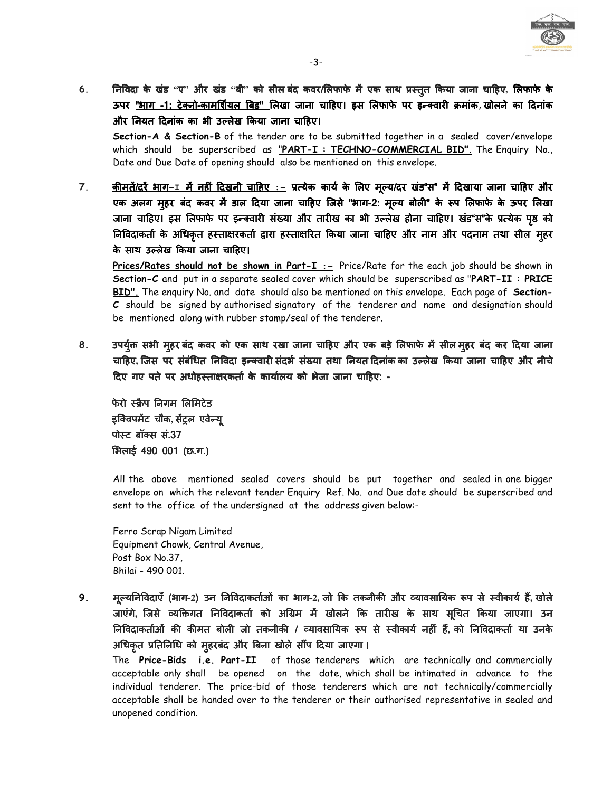

6. ) निविदा के खंड ''ए'' और खंड ''बी'' को सील बंद कवर/लिफाफे में एक साथ प्रस्तुत किया जाना चाहिए, लिफाफे के ऊपर <u>"भाग -1: टेक्नो-कामर्शियल बिड" लिखा</u> जाना चाहिए। इस लिफाफे पर इन्क्वारी क्रमांक,खोलने का दिनांक और नियत दिनांक का भी उल्लेख किया जाना चाहिए।

**Section-A & Section-B** of the tender are to be submitted together in a sealed cover/envelope which should be superscribed as "**PART-I : TECHNO-COMMERCIAL BID".** The Enquiry No., Date and Due Date of opening should also be mentioned on this envelope.

7. <u>कीमतें/दरें भाग-1 में नहीं दिखनी चाहिए :-</u> प्रत्येक कार्य के लिए मूल्य/दर खंड"स" में दिखाया जाना चाहिए और एक अलग महर बंद कवर में डाल दिया जाना चाहिए जिसे " भाग-2: मुल्य बोली" के रूप लिफाफे के ऊपर लिखा जाना चाहिए। इस लिफाफे पर इन्क्वारी संख्या और तारीख का भी उल्लेख होना चाहिए। खंड"स"के प्रत्येक पृष्ठ को )निविदाकर्ता के अधिकृत हस्ताक्षरकर्ता द्वारा हस्ताक्षरित किया जाना चाहिए और नाम और पदनाम तथा सील मुहर के साथ उल्लेख किया जाना चाहिए।

**Prices/Rates should not be shown in Part-I :-** Price/Rate for the each job should be shown in **Section-C** and put in a separate sealed cover which should be superscribed as "**PART-II : PRICE BID".** The enquiry No. and date should also be mentioned on this envelope. Each page of **Section-C** should be signed by authorised signatory of the tenderer and name and designation should be mentioned along with rubber stamp/seal of the tenderer.

8. उपर्यूक्त सभी मुहर बंद कवर को एक साथ रखा जाना चाहिए और एक बड़े लिफाफे में सील मुहर बंद कर दिया जाना चाहिए, जिस पर संबंधित निविदा इन्क्वारी संदर्भ संख्या तथा नियत दिनांक का उल्लेख किया जाना चाहिए और नीचे दिए गए पते पर अधोहस्ताक्षरकर्ता के कार्यालय को भेजा जाना चाहिए: -

फेरो स्क्रैप निगम लिमिटेड इक्विपमेंट चौक, सेंट्रल एवेन्य् पो&टबॉ!स सं बॉ!स सं**.**37 भिलाई 490 001 (छ.ग.)

All the above mentioned sealed covers should be put together and sealed in one bigger envelope on which the relevant tender Enquiry Ref. No. and Due date should be superscribed and sent to the office of the undersigned at the address given below:-

 Ferro Scrap Nigam Limited Equipment Chowk, Central Avenue, Post Box No.37, Bhilai - 490 001.

9. मुल्यनिविदाएँ (भाग-2) उन निविदाकर्ताओं का भाग-2, जो कि तकनीकी और व्यावसायिक रूप से स्वीकार्य हैं, खोले जाएंगे, जिसे व्यक्तिगत निविदाकर्ता को अग्रिम में खोलने कि तारीख के साथ सृचित किया जाएगा। उन निविदाकर्ताओं की कीमत बोली जो तकनीकी / व्यावसायिक रूप से स्वीकार्य नहीं हैं, को निविदाकर्ता या उनके अधिकृत प्रतिनिधि को मुहरबंद और बिना खोले सौंप दिया जाएगा ।

The **Price-Bids i.e. Part-II** of those tenderers which are technically and commercially acceptable only shall be opened on the date, which shall be intimated in advance to the individual tenderer. The price-bid of those tenderers which are not technically/commercially acceptable shall be handed over to the tenderer or their authorised representative in sealed and unopened condition.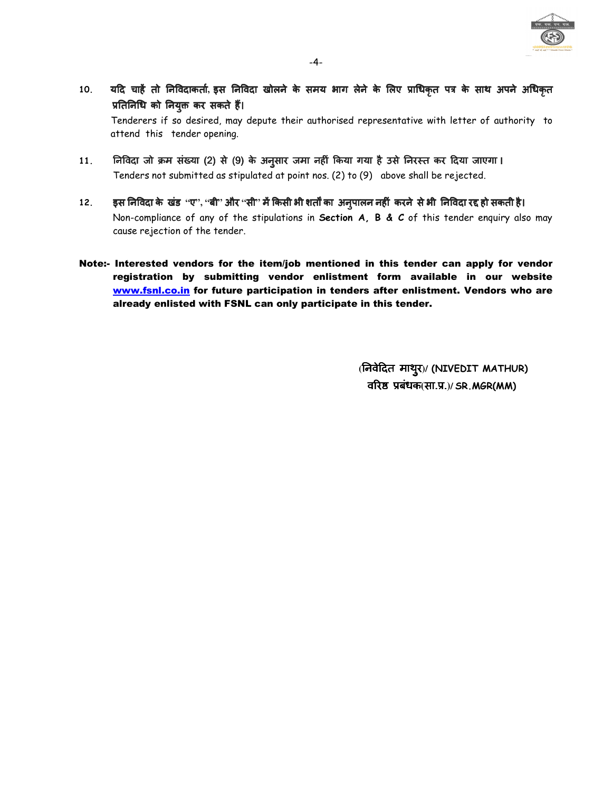

- 10. यदि चाहें तो निविदाकर्ता, इस निविदा खोलने के समय भाग लेने के लिए प्राधिकृत पत्र के साथ अपने अधिकृत प्रतिनिधि को नियुक्त कर सकते हैं। Tenderers if so desired, may depute their authorised representative with letter of authority to attend this tender opening.
- 11. निविदा जो क्रम संख्या (2) से (9) के अनुसार जमा नहीं किया गया है उसे निरस्त कर दिया जाएगा। Tenders not submitted as stipulated at point nos. (2) to (9) above shall be rejected.
- 12. इस निविदा के खंड ''ए'', ''बी'' और ''सी'' में किसी भी शर्तों का अनुपालन नहीं करने से भी निविदा रद्द हो सकती है। Non-compliance of any of the stipulations in **Section A, B & C** of this tender enquiry also may cause rejection of the tender.
- Note:- Interested vendors for the item/job mentioned in this tender can apply for vendor registration by submitting vendor enlistment form available in our website www.fsnl.co.in for future participation in tenders after enlistment. Vendors who are already enlisted with FSNL can only participate in this tender.

 **(**)नवेGदत )नवेGदतमाथरु**)/ (NIVEDIT MATHUR)** व[र\ Lबंधक Lबंधक**(**सा.L.**)/ SR.MGR(MM)**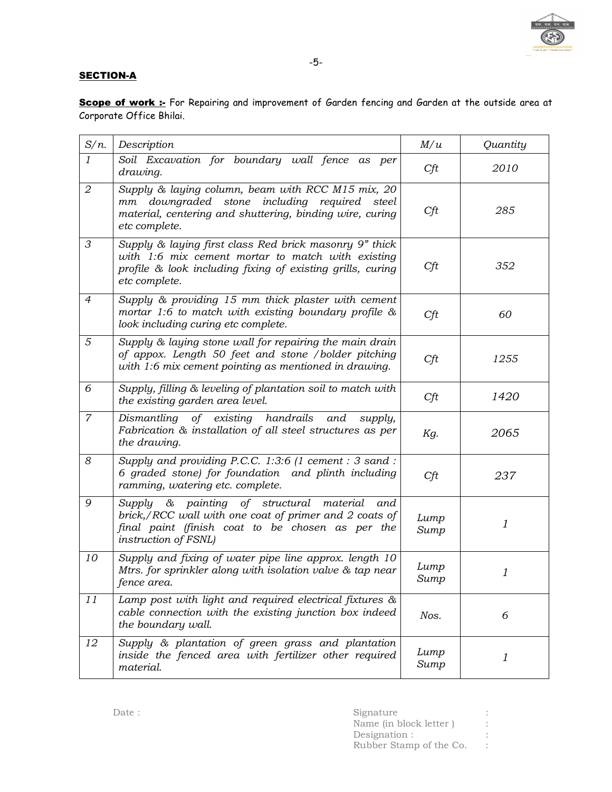

## **SECTION-A**

Scope of work :- For Repairing and improvement of Garden fencing and Garden at the outside area at Corporate Office Bhilai.

| $S/n$ .        | Description                                                                                                                                                                                | M/u          | Quantity                  |
|----------------|--------------------------------------------------------------------------------------------------------------------------------------------------------------------------------------------|--------------|---------------------------|
| $\mathfrak{1}$ | Soil Excavation for boundary wall fence as per<br>drawing.                                                                                                                                 | Cft          | 2010                      |
| $\mathfrak{D}$ | Supply & laying column, beam with RCC M15 mix, 20<br>downgraded stone including required<br>steel<br>mm<br>material, centering and shuttering, binding wire, curing<br>etc complete.       | Cft          | 285                       |
| 3              | Supply & laying first class Red brick masonry 9" thick<br>with 1:6 mix cement mortar to match with existing<br>profile & look including fixing of existing grills, curing<br>etc complete. | Cft          | 352                       |
| $\overline{4}$ | Supply & providing 15 mm thick plaster with cement<br>mortar 1:6 to match with existing boundary profile $\&$<br>look including curing etc complete.                                       | Cft          | 60                        |
| 5              | Supply & laying stone wall for repairing the main drain<br>of appox. Length 50 feet and stone /bolder pitching<br>with 1:6 mix cement pointing as mentioned in drawing.                    | Cft          | 1255                      |
| 6              | Supply, filling & leveling of plantation soil to match with<br>the existing garden area level.                                                                                             | Cft          | 1420                      |
| $\overline{7}$ | of existing handrails<br>Dismantling<br>and<br>supply,<br>Fabrication & installation of all steel structures as per<br>the drawing.                                                        | Kg.          | 2065                      |
| 8              | Supply and providing P.C.C. 1:3:6 (1 cement : 3 sand :<br>6 graded stone) for foundation and plinth including<br>ramming, watering etc. complete.                                          | Cft          | 237                       |
| 9              | & painting of structural material<br>Supply<br>and<br>brick,/RCC wall with one coat of primer and 2 coats of<br>final paint (finish coat to be chosen as per the<br>instruction of FSNL)   | Lump<br>Sump | $\boldsymbol{\mathit{1}}$ |
| 10             | Supply and fixing of water pipe line approx. length 10<br>Mtrs. for sprinkler along with isolation valve & tap near<br>fence area.                                                         | Lump<br>Sump | $\mathfrak{1}$            |
| 11             | Lamp post with light and required electrical fixtures &<br>cable connection with the existing junction box indeed<br>the boundary wall.                                                    | Nos.         | 6                         |
| 12             | Supply & plantation of green grass and plantation<br>inside the fenced area with fertilizer other required<br>material.                                                                    | Lump<br>Sump | 1                         |

| Date: | Signature               |  |
|-------|-------------------------|--|
|       | Name (in block letter)  |  |
|       | Designation :           |  |
|       | Rubber Stamp of the Co. |  |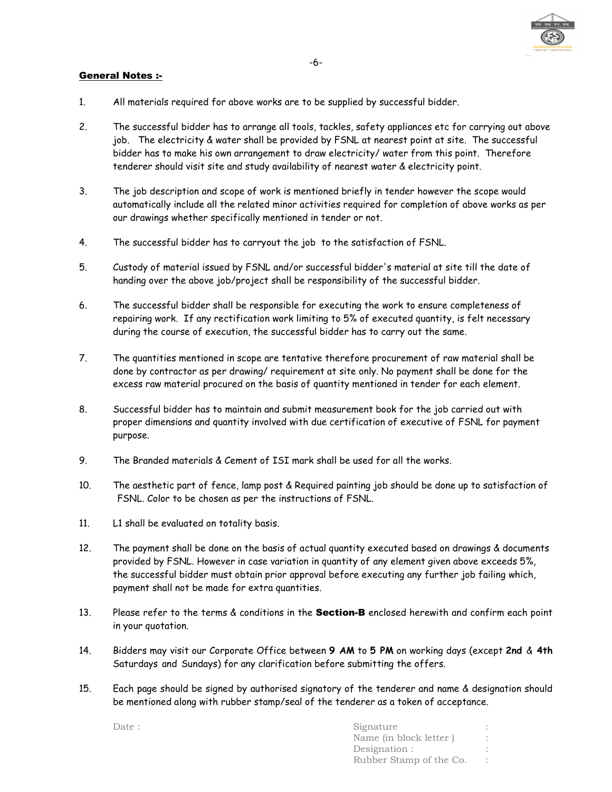

#### General Notes :-

- 1. All materials required for above works are to be supplied by successful bidder.
- 2. The successful bidder has to arrange all tools, tackles, safety appliances etc for carrying out above job. The electricity & water shall be provided by FSNL at nearest point at site. The successful bidder has to make his own arrangement to draw electricity/ water from this point. Therefore tenderer should visit site and study availability of nearest water & electricity point.
- 3. The job description and scope of work is mentioned briefly in tender however the scope would automatically include all the related minor activities required for completion of above works as per our drawings whether specifically mentioned in tender or not.
- 4. The successful bidder has to carryout the job to the satisfaction of FSNL.
- 5. Custody of material issued by FSNL and/or successful bidder's material at site till the date of handing over the above job/project shall be responsibility of the successful bidder.
- 6. The successful bidder shall be responsible for executing the work to ensure completeness of repairing work. If any rectification work limiting to 5% of executed quantity, is felt necessary during the course of execution, the successful bidder has to carry out the same.
- 7. The quantities mentioned in scope are tentative therefore procurement of raw material shall be done by contractor as per drawing/ requirement at site only. No payment shall be done for the excess raw material procured on the basis of quantity mentioned in tender for each element.
- 8. Successful bidder has to maintain and submit measurement book for the job carried out with proper dimensions and quantity involved with due certification of executive of FSNL for payment purpose.
- 9. The Branded materials & Cement of ISI mark shall be used for all the works.
- 10. The aesthetic part of fence, lamp post & Required painting job should be done up to satisfaction of FSNL. Color to be chosen as per the instructions of FSNL.
- 11. L1 shall be evaluated on totality basis.
- 12. The payment shall be done on the basis of actual quantity executed based on drawings & documents provided by FSNL. However in case variation in quantity of any element given above exceeds 5%, the successful bidder must obtain prior approval before executing any further job failing which, payment shall not be made for extra quantities.
- 13. Please refer to the terms & conditions in the **Section-B** enclosed herewith and confirm each point in your quotation.
- 14. Bidders may visit our Corporate Office between **9 AM** to **5 PM** on working days (except **2nd** & **4th**  Saturdays and Sundays) for any clarification before submitting the offers.
- 15. Each page should be signed by authorised signatory of the tenderer and name & designation should be mentioned along with rubber stamp/seal of the tenderer as a token of acceptance.

Date : Signature : Signature : Signature : Signature : Signature : Signature : Signature : Signature : Signature : Signature : Signature : Signature : Signature : Signature : Signature : Signature : Signature : Signature : Name (in block letter ) : Designation : Rubber Stamp of the Co. :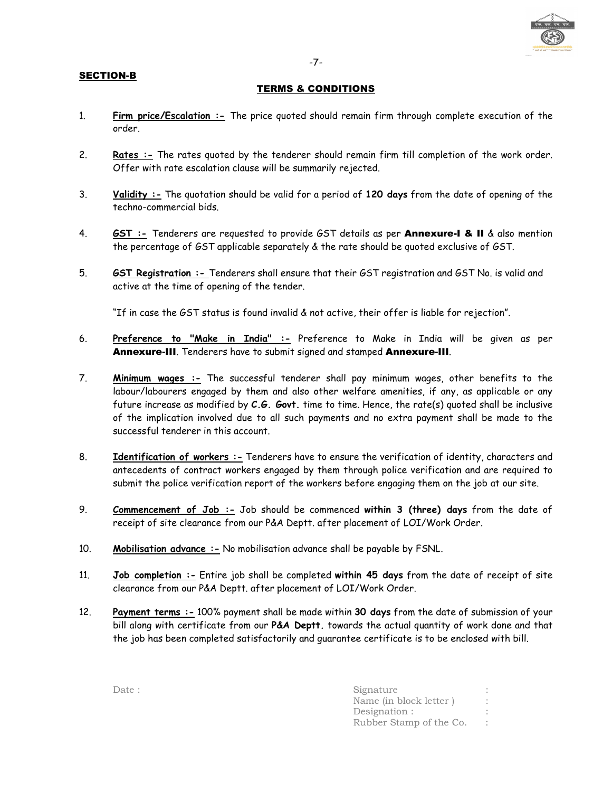#### SECTION-B

#### -7-

#### TERMS & CONDITIONS

- 1. **Firm price/Escalation :-** The price quoted should remain firm through complete execution of the order.
- 2. **Rates :-** The rates quoted by the tenderer should remain firm till completion of the work order. Offer with rate escalation clause will be summarily rejected.
- 3. **Validity :-** The quotation should be valid for a period of **120 days** from the date of opening of the techno-commercial bids.
- 4. **GST :-** Tenderers are requested to provide GST details as per Annexure-I & II & also mention the percentage of GST applicable separately & the rate should be quoted exclusive of GST.
- 5. **GST Registration :-** Tenderers shall ensure that their GST registration and GST No. is valid and active at the time of opening of the tender.

"If in case the GST status is found invalid & not active, their offer is liable for rejection".

- 6. **Preference to "Make in India" :-** Preference to Make in India will be given as per Annexure-III. Tenderers have to submit signed and stamped Annexure-III.
- 7. **Minimum wages :-** The successful tenderer shall pay minimum wages, other benefits to the labour/labourers engaged by them and also other welfare amenities, if any, as applicable or any future increase as modified by **C.G. Govt.** time to time. Hence, the rate(s) quoted shall be inclusive of the implication involved due to all such payments and no extra payment shall be made to the successful tenderer in this account.
- 8. **Identification of workers :-** Tenderers have to ensure the verification of identity, characters and antecedents of contract workers engaged by them through police verification and are required to submit the police verification report of the workers before engaging them on the job at our site.
- 9. **Commencement of Job :-** Job should be commenced **within 3 (three) days** from the date of receipt of site clearance from our P&A Deptt. after placement of LOI/Work Order.
- 10. **Mobilisation advance :-** No mobilisation advance shall be payable by FSNL.
- 11. **Job completion :-** Entire job shall be completed **within 45 days** from the date of receipt of site clearance from our P&A Deptt. after placement of LOI/Work Order.
- 12. **Payment terms :-** 100% payment shall be made within **30 days** from the date of submission of your bill along with certificate from our **P&A Deptt.** towards the actual quantity of work done and that the job has been completed satisfactorily and guarantee certificate is to be enclosed with bill.

| Date: | Signature               |  |
|-------|-------------------------|--|
|       | Name (in block letter)  |  |
|       | Designation :           |  |
|       | Rubber Stamp of the Co. |  |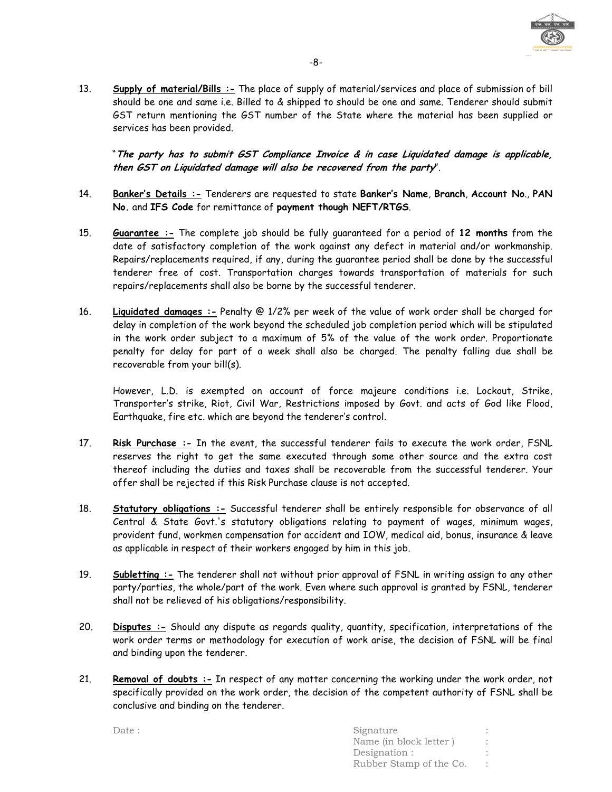

13. **Supply of material/Bills :-** The place of supply of material/services and place of submission of bill should be one and same i.e. Billed to & shipped to should be one and same. Tenderer should submit GST return mentioning the GST number of the State where the material has been supplied or services has been provided.

"**The party has to submit GST Compliance Invoice & in case Liquidated damage is applicable, then GST on Liquidated damage will also be recovered from the party**".

- 14. **Banker's Details :-** Tenderers are requested to state **Banker's Name**, **Branch**, **Account No**., **PAN No.** and **IFS Code** for remittance of **payment though NEFT/RTGS**.
- 15. **Guarantee :-** The complete job should be fully guaranteed for a period of **12 months** from the date of satisfactory completion of the work against any defect in material and/or workmanship. Repairs/replacements required, if any, during the guarantee period shall be done by the successful tenderer free of cost. Transportation charges towards transportation of materials for such repairs/replacements shall also be borne by the successful tenderer.
- 16. **Liquidated damages :-** Penalty @ 1/2% per week of the value of work order shall be charged for delay in completion of the work beyond the scheduled job completion period which will be stipulated in the work order subject to a maximum of 5% of the value of the work order. Proportionate penalty for delay for part of a week shall also be charged. The penalty falling due shall be recoverable from your bill(s).

However, L.D. is exempted on account of force majeure conditions i.e. Lockout, Strike, Transporter's strike, Riot, Civil War, Restrictions imposed by Govt. and acts of God like Flood, Earthquake, fire etc. which are beyond the tenderer's control.

- 17. **Risk Purchase :-** In the event, the successful tenderer fails to execute the work order, FSNL reserves the right to get the same executed through some other source and the extra cost thereof including the duties and taxes shall be recoverable from the successful tenderer. Your offer shall be rejected if this Risk Purchase clause is not accepted.
- 18. **Statutory obligations :-** Successful tenderer shall be entirely responsible for observance of all Central & State Govt.'s statutory obligations relating to payment of wages, minimum wages, provident fund, workmen compensation for accident and IOW, medical aid, bonus, insurance & leave as applicable in respect of their workers engaged by him in this job.
- 19. **Subletting :-** The tenderer shall not without prior approval of FSNL in writing assign to any other party/parties, the whole/part of the work. Even where such approval is granted by FSNL, tenderer shall not be relieved of his obligations/responsibility.
- 20. **Disputes :-** Should any dispute as regards quality, quantity, specification, interpretations of the work order terms or methodology for execution of work arise, the decision of FSNL will be final and binding upon the tenderer.
- 21. **Removal of doubts :-** In respect of any matter concerning the working under the work order, not specifically provided on the work order, the decision of the competent authority of FSNL shall be conclusive and binding on the tenderer.

Date : Signature : Signature : Signature : Signature : Signature : Signature : Signature : Signature : Signature : Signature : Signature : Signature : Signature : Signature : Signature : Signature : Signature : Signature : Name (in block letter ) : Designation : Rubber Stamp of the Co. :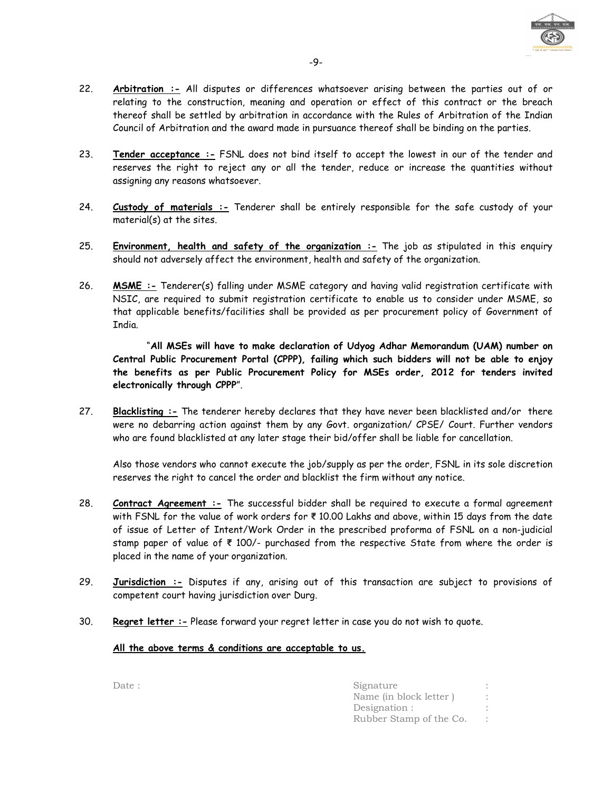

- 23. **Tender acceptance :-** FSNL does not bind itself to accept the lowest in our of the tender and reserves the right to reject any or all the tender, reduce or increase the quantities without assigning any reasons whatsoever.
- 24. **Custody of materials :-** Tenderer shall be entirely responsible for the safe custody of your material(s) at the sites.
- 25. **Environment, health and safety of the organization :-** The job as stipulated in this enquiry should not adversely affect the environment, health and safety of the organization.
- 26. **MSME :-** Tenderer(s) falling under MSME category and having valid registration certificate with NSIC, are required to submit registration certificate to enable us to consider under MSME, so that applicable benefits/facilities shall be provided as per procurement policy of Government of India.

 "**All MSEs will have to make declaration of Udyog Adhar Memorandum (UAM) number on Central Public Procurement Portal (CPPP), failing which such bidders will not be able to enjoy the benefits as per Public Procurement Policy for MSEs order, 2012 for tenders invited electronically through CPPP**".

27. **Blacklisting :-** The tenderer hereby declares that they have never been blacklisted and/or there were no debarring action against them by any Govt. organization/ CPSE/ Court. Further vendors who are found blacklisted at any later stage their bid/offer shall be liable for cancellation.

Also those vendors who cannot execute the job/supply as per the order, FSNL in its sole discretion reserves the right to cancel the order and blacklist the firm without any notice.

- 28. **Contract Agreement :-** The successful bidder shall be required to execute a formal agreement with FSNL for the value of work orders for **₹** 10.00 Lakhs and above, within 15 days from the date of issue of Letter of Intent/Work Order in the prescribed proforma of FSNL on a non-judicial stamp paper of value of **₹** 100/- purchased from the respective State from where the order is placed in the name of your organization.
- 29. **Jurisdiction :-** Disputes if any, arising out of this transaction are subject to provisions of competent court having jurisdiction over Durg.
- 30. **Regret letter :-** Please forward your regret letter in case you do not wish to quote.

## **All the above terms & conditions are acceptable to us.**

| Date : | Signature               |  |
|--------|-------------------------|--|
|        | Name (in block letter)  |  |
|        | Designation :           |  |
|        | Rubber Stamp of the Co. |  |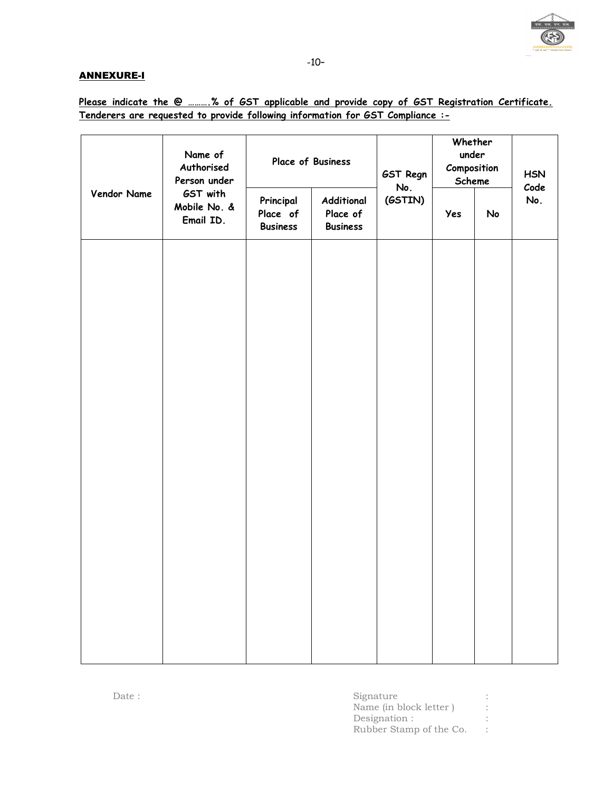

## ANNEXURE-I

**Please indicate the @ ……….% of GST applicable and provide copy of GST Registration Certificate. Tenderers are requested to provide following information for GST Compliance :-**

|             | Name of<br>Authorised<br>Person under<br>GST with<br>Mobile No. &<br>Email ID. | Place of Business                        |                                           | GST Regn<br>No. | Whether<br>under<br>Composition<br>Scheme |    | <b>HSN</b><br>Code |
|-------------|--------------------------------------------------------------------------------|------------------------------------------|-------------------------------------------|-----------------|-------------------------------------------|----|--------------------|
| Vendor Name |                                                                                | Principal<br>Place of<br><b>Business</b> | Additional<br>Place of<br><b>Business</b> | (GSTIN)         | Yes                                       | No | No.                |
|             |                                                                                |                                          |                                           |                 |                                           |    |                    |
|             |                                                                                |                                          |                                           |                 |                                           |    |                    |
|             |                                                                                |                                          |                                           |                 |                                           |    |                    |
|             |                                                                                |                                          |                                           |                 |                                           |    |                    |
|             |                                                                                |                                          |                                           |                 |                                           |    |                    |
|             |                                                                                |                                          |                                           |                 |                                           |    |                    |
|             |                                                                                |                                          |                                           |                 |                                           |    |                    |
|             |                                                                                |                                          |                                           |                 |                                           |    |                    |

| Date : | Signature               |  |
|--------|-------------------------|--|
|        | Name (in block letter)  |  |
|        | Designation :           |  |
|        | Rubber Stamp of the Co. |  |
|        |                         |  |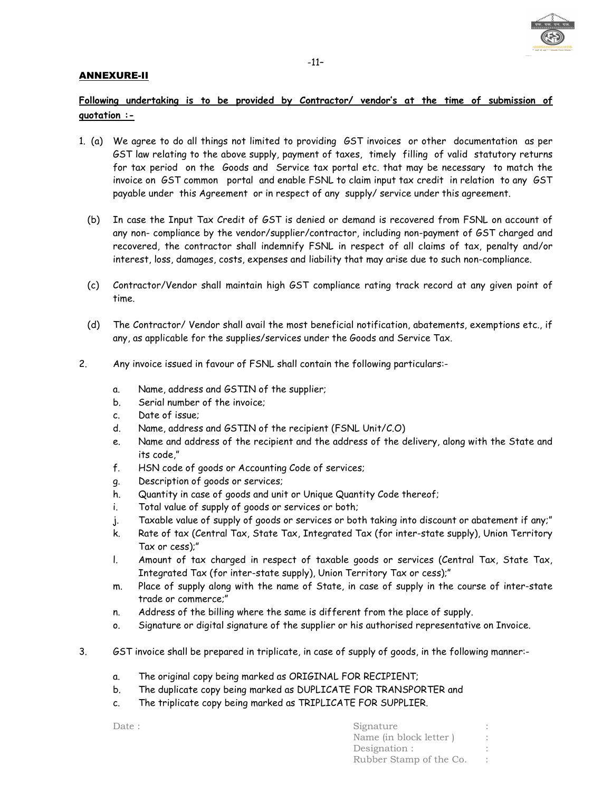

#### ANNEXURE-II

# **Following undertaking is to be provided by Contractor/ vendor's at the time of submission of quotation :-**

- 1. (a) We agree to do all things not limited to providing GST invoices or other documentation as per GST law relating to the above supply, payment of taxes, timely filling of valid statutory returns for tax period on the Goods and Service tax portal etc. that may be necessary to match the invoice on GST common portal and enable FSNL to claim input tax credit in relation to any GST payable under this Agreement or in respect of any supply/ service under this agreement.
	- (b) In case the Input Tax Credit of GST is denied or demand is recovered from FSNL on account of any non- compliance by the vendor/supplier/contractor, including non-payment of GST charged and recovered, the contractor shall indemnify FSNL in respect of all claims of tax, penalty and/or interest, loss, damages, costs, expenses and liability that may arise due to such non-compliance.
	- (c) Contractor/Vendor shall maintain high GST compliance rating track record at any given point of time.
	- (d) The Contractor/ Vendor shall avail the most beneficial notification, abatements, exemptions etc., if any, as applicable for the supplies/services under the Goods and Service Tax.
- 2. Any invoice issued in favour of FSNL shall contain the following particulars:
	- a. Name, address and GSTIN of the supplier;
	- b. Serial number of the invoice;
	- c. Date of issue;
	- d. Name, address and GSTIN of the recipient (FSNL Unit/C.O)
	- e. Name and address of the recipient and the address of the delivery, along with the State and its code,"
	- f. HSN code of goods or Accounting Code of services;
	- g. Description of goods or services;
	- h. Quantity in case of goods and unit or Unique Quantity Code thereof;
	- i. Total value of supply of goods or services or both;
	- j. Taxable value of supply of goods or services or both taking into discount or abatement if any;"
	- k. Rate of tax (Central Tax, State Tax, Integrated Tax (for inter-state supply), Union Territory Tax or cess);"
	- l. Amount of tax charged in respect of taxable goods or services (Central Tax, State Tax, Integrated Tax (for inter-state supply), Union Territory Tax or cess);"
	- m. Place of supply along with the name of State, in case of supply in the course of inter-state trade or commerce;"
	- n. Address of the billing where the same is different from the place of supply.
	- o. Signature or digital signature of the supplier or his authorised representative on Invoice.
- 3. GST invoice shall be prepared in triplicate, in case of supply of goods, in the following manner:
	- a. The original copy being marked as ORIGINAL FOR RECIPIENT;
	- b. The duplicate copy being marked as DUPLICATE FOR TRANSPORTER and
	- c. The triplicate copy being marked as TRIPLICATE FOR SUPPLIER.

| Date : | Signature               |  |
|--------|-------------------------|--|
|        | Name (in block letter)  |  |
|        | Designation :           |  |
|        | Rubber Stamp of the Co. |  |
|        |                         |  |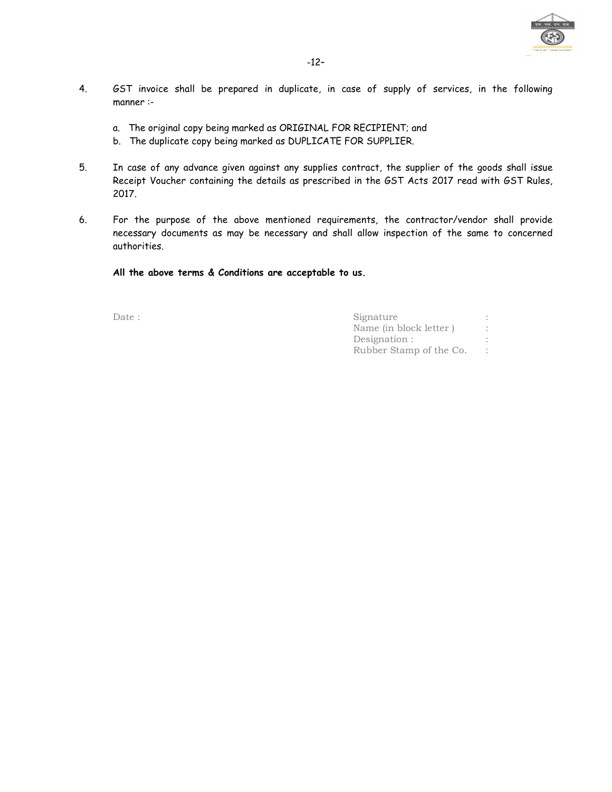

- 4. GST invoice shall be prepared in duplicate, in case of supply of services, in the following manner :
	- a. The original copy being marked as ORIGINAL FOR RECIPIENT; and
	- b. The duplicate copy being marked as DUPLICATE FOR SUPPLIER.
- 5. In case of any advance given against any supplies contract, the supplier of the goods shall issue Receipt Voucher containing the details as prescribed in the GST Acts 2017 read with GST Rules, 2017.
- 6. For the purpose of the above mentioned requirements, the contractor/vendor shall provide necessary documents as may be necessary and shall allow inspection of the same to concerned authorities.

**All the above terms & Conditions are acceptable to us.** 

Date : Signature : Signature : Signature : Signature : Signature : Signature : Signature : Signature : Signature : Signature : Signature : Signature : Signature : Signature : Signature : Signature : Signature : Signature : Name (in block letter ) : Designation :  $\qquad \qquad :$ Rubber Stamp of the Co. :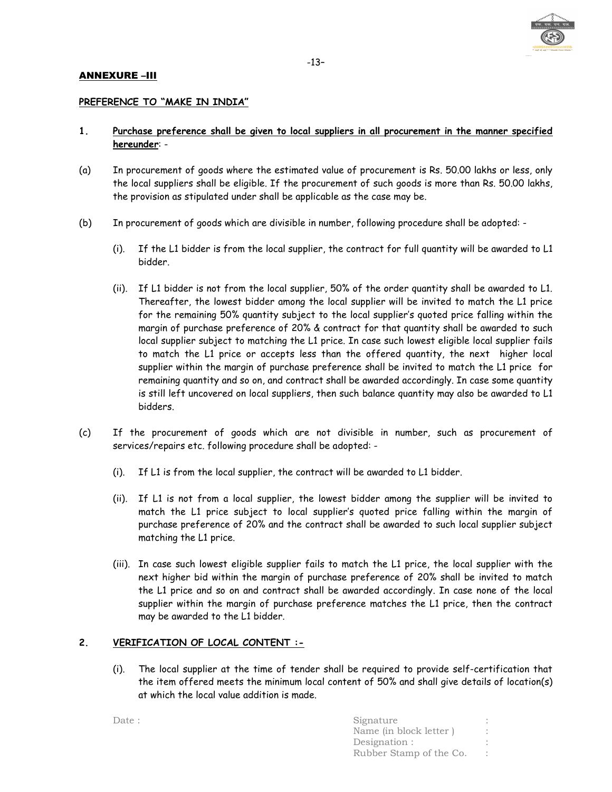

#### ANNEXURE –III

#### **PREFERENCE TO "MAKE IN INDIA"**

#### **1. Purchase preference shall be given to local suppliers in all procurement in the manner specified hereunder**: -

- (a) In procurement of goods where the estimated value of procurement is Rs. 50.00 lakhs or less, only the local suppliers shall be eligible. If the procurement of such goods is more than Rs. 50.00 lakhs, the provision as stipulated under shall be applicable as the case may be.
- (b) In procurement of goods which are divisible in number, following procedure shall be adopted:
	- (i). If the L1 bidder is from the local supplier, the contract for full quantity will be awarded to L1 bidder.
	- (ii). If L1 bidder is not from the local supplier, 50% of the order quantity shall be awarded to L1. Thereafter, the lowest bidder among the local supplier will be invited to match the L1 price for the remaining 50% quantity subject to the local supplier's quoted price falling within the margin of purchase preference of 20% & contract for that quantity shall be awarded to such local supplier subject to matching the L1 price. In case such lowest eligible local supplier fails to match the L1 price or accepts less than the offered quantity, the next higher local supplier within the margin of purchase preference shall be invited to match the L1 price for remaining quantity and so on, and contract shall be awarded accordingly. In case some quantity is still left uncovered on local suppliers, then such balance quantity may also be awarded to L1 bidders.
- (c) If the procurement of goods which are not divisible in number, such as procurement of services/repairs etc. following procedure shall be adopted: -
	- (i). If L1 is from the local supplier, the contract will be awarded to L1 bidder.
	- (ii). If L1 is not from a local supplier, the lowest bidder among the supplier will be invited to match the L1 price subject to local supplier's quoted price falling within the margin of purchase preference of 20% and the contract shall be awarded to such local supplier subject matching the L1 price.
	- (iii). In case such lowest eligible supplier fails to match the L1 price, the local supplier with the next higher bid within the margin of purchase preference of 20% shall be invited to match the L1 price and so on and contract shall be awarded accordingly. In case none of the local supplier within the margin of purchase preference matches the L1 price, then the contract may be awarded to the L1 bidder.

#### **2. VERIFICATION OF LOCAL CONTENT :-**

(i). The local supplier at the time of tender shall be required to provide self-certification that the item offered meets the minimum local content of 50% and shall give details of location(s) at which the local value addition is made.

Date : Signature : Signature : Signature : Signature : Signature : Signature : Signature : Signature : Signature : Signature : Signature : Signature : Signature : Signature : Signature : Signature : Signature : Signature : Name (in block letter ) : Designation : Rubber Stamp of the Co. :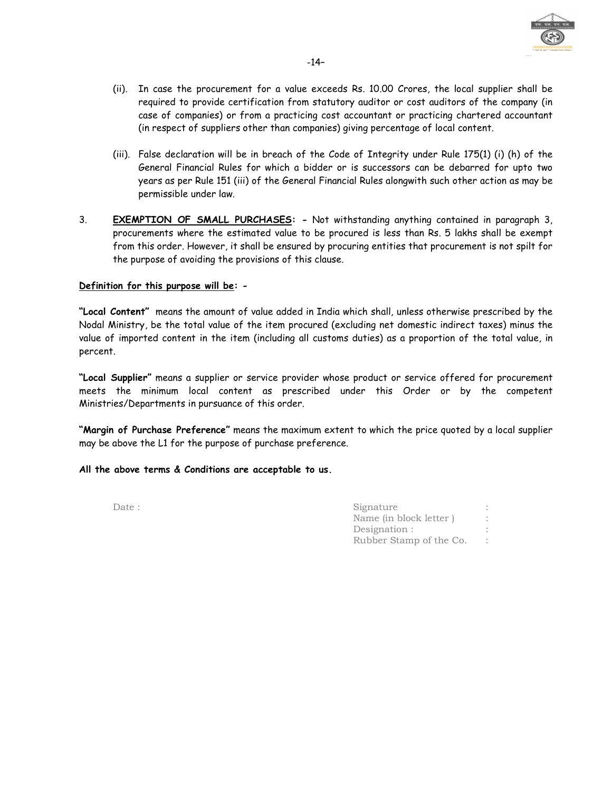

- (ii). In case the procurement for a value exceeds Rs. 10.00 Crores, the local supplier shall be required to provide certification from statutory auditor or cost auditors of the company (in case of companies) or from a practicing cost accountant or practicing chartered accountant (in respect of suppliers other than companies) giving percentage of local content.
- (iii). False declaration will be in breach of the Code of Integrity under Rule 175(1) (i) (h) of the General Financial Rules for which a bidder or is successors can be debarred for upto two years as per Rule 151 (iii) of the General Financial Rules alongwith such other action as may be permissible under law.
- 3. **EXEMPTION OF SMALL PURCHASES: -** Not withstanding anything contained in paragraph 3, procurements where the estimated value to be procured is less than Rs. 5 lakhs shall be exempt from this order. However, it shall be ensured by procuring entities that procurement is not spilt for the purpose of avoiding the provisions of this clause.

#### **Definition for this purpose will be: -**

**"Local Content"** means the amount of value added in India which shall, unless otherwise prescribed by the Nodal Ministry, be the total value of the item procured (excluding net domestic indirect taxes) minus the value of imported content in the item (including all customs duties) as a proportion of the total value, in percent.

**"Local Supplier"** means a supplier or service provider whose product or service offered for procurement meets the minimum local content as prescribed under this Order or by the competent Ministries/Departments in pursuance of this order.

**"Margin of Purchase Preference"** means the maximum extent to which the price quoted by a local supplier may be above the L1 for the purpose of purchase preference.

#### **All the above terms & Conditions are acceptable to us.**

| Date : | Signature               |  |
|--------|-------------------------|--|
|        | Name (in block letter)  |  |
|        | Designation :           |  |
|        | Rubber Stamp of the Co. |  |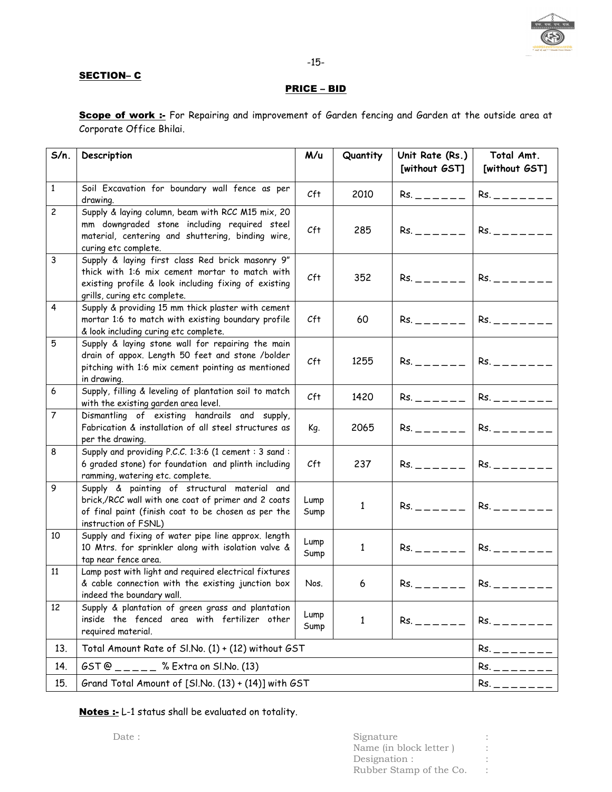

### SECTION-C

## PRICE – BID

Scope of work :- For Repairing and improvement of Garden fencing and Garden at the outside area at Corporate Office Bhilai.

| $S/n$ .                 | Description                                                                                                                                                                                | M/u                   | Quantity     | Unit Rate (Rs.)<br>[without GST] | Total Amt.<br>[without GST] |
|-------------------------|--------------------------------------------------------------------------------------------------------------------------------------------------------------------------------------------|-----------------------|--------------|----------------------------------|-----------------------------|
| $\mathbf{1}$            | Soil Excavation for boundary wall fence as per<br>drawing.                                                                                                                                 | Cft                   | 2010         | $Rs. = - - - -$                  | Rs.                         |
| $\overline{c}$          | Supply & laying column, beam with RCC M15 mix, 20<br>mm downgraded stone including required steel<br>material, centering and shuttering, binding wire,<br>curing etc complete.             | Cft                   | 285          | $Rs. = - - - -$                  | $Rs. = - - - - -$           |
| $\mathbf{3}$            | Supply & laying first class Red brick masonry 9"<br>thick with 1:6 mix cement mortar to match with<br>existing profile & look including fixing of existing<br>grills, curing etc complete. | Cft                   | 352          | $Rs. = - - - -$                  | $Rs. = - - - - -$           |
| $\overline{\mathbf{4}}$ | Supply & providing 15 mm thick plaster with cement<br>mortar 1:6 to match with existing boundary profile<br>& look including curing etc complete.                                          | Cft                   | 60           | $Rs. = - - - -$                  | $Rs. = - - - - -$           |
| 5                       | Supply & laying stone wall for repairing the main<br>drain of appox. Length 50 feet and stone /bolder<br>pitching with 1:6 mix cement pointing as mentioned<br>in drawing.                 | Cft                   | 1255         | $Rs. = - - - -$                  | $Rs. = - - - - -$           |
| 6                       | Supply, filling & leveling of plantation soil to match<br>with the existing garden area level.                                                                                             | Cft                   | 1420         | $Rs. = - - - -$                  | Rs.                         |
| $\overline{7}$          | Dismantling of existing handrails and supply,<br>Fabrication & installation of all steel structures as<br>per the drawing.                                                                 | Kg.                   | 2065         | $Rs. = - - - -$                  | $Rs. = - - - - -$           |
| 8                       | Supply and providing P.C.C. 1:3:6 (1 cement : 3 sand :<br>6 graded stone) for foundation and plinth including<br>ramming, watering etc. complete.                                          | Cft                   | 237          | $Rs. = - - - -$                  | $Rs. = - - - - - -$         |
| 9                       | Supply & painting of structural material and<br>brick,/RCC wall with one coat of primer and 2 coats<br>of final paint (finish coat to be chosen as per the<br>instruction of FSNL)         | Lump<br>Sump          | $\mathbf{1}$ | $Rs. = - - - -$                  | $Rs. = - - - - -$           |
| 10                      | Supply and fixing of water pipe line approx. length<br>10 Mtrs. for sprinkler along with isolation valve &<br>tap near fence area.                                                         | Lump<br>Sump          | 1            | $Rs. = - - - -$                  | $Rs. = - - - - -$           |
| 11                      | Lamp post with light and required electrical fixtures<br>& cable connection with the existing junction box<br>indeed the boundary wall.                                                    | Nos.                  | 6            | $Rs. = - - - -$                  | $Rs. = - - - - - -$         |
| 12                      | Supply & plantation of green grass and plantation<br>inside the fenced area with fertilizer other<br>required material.                                                                    | Lump<br>Sump          | $\mathbf{1}$ | $Rs. = - - - -$                  | Rs.                         |
| 13.                     | Total Amount Rate of Sl.No. (1) + (12) without GST                                                                                                                                         |                       |              |                                  | $Rs. = - - - - -$           |
| 14.                     | $GST@$ _ _ _ _ _ % Extra on Sl.No. (13)                                                                                                                                                    | $Rs.$ _ _ _ _ _ _ _ _ |              |                                  |                             |
| 15.                     | Grand Total Amount of [Sl.No. (13) + (14)] with GST                                                                                                                                        | $Rs. = - - - - -$     |              |                                  |                             |

Notes :- L-1 status shall be evaluated on totality.